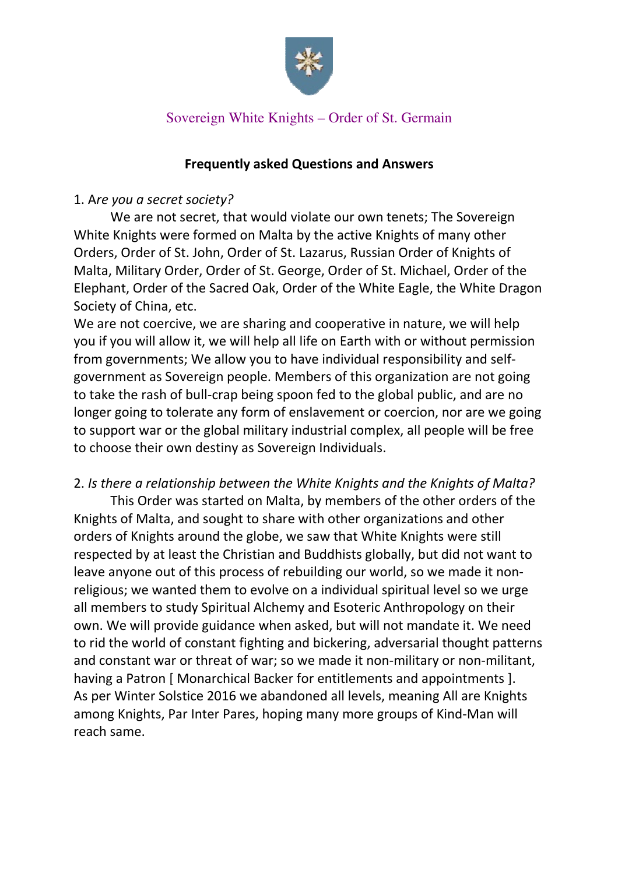

## Sovereign White Knights – Order of St. Germain

### Frequently asked Questions and Answers

### 1. Are you a secret society?

We are not secret, that would violate our own tenets; The Sovereign White Knights were formed on Malta by the active Knights of many other Orders, Order of St. John, Order of St. Lazarus, Russian Order of Knights of Malta, Military Order, Order of St. George, Order of St. Michael, Order of the Elephant, Order of the Sacred Oak, Order of the White Eagle, the White Dragon Society of China, etc.

We are not coercive, we are sharing and cooperative in nature, we will help you if you will allow it, we will help all life on Earth with or without permission from governments; We allow you to have individual responsibility and selfgovernment as Sovereign people. Members of this organization are not going to take the rash of bull-crap being spoon fed to the global public, and are no longer going to tolerate any form of enslavement or coercion, nor are we going to support war or the global military industrial complex, all people will be free to choose their own destiny as Sovereign Individuals.

### 2. Is there a relationship between the White Knights and the Knights of Malta?

This Order was started on Malta, by members of the other orders of the Knights of Malta, and sought to share with other organizations and other orders of Knights around the globe, we saw that White Knights were still respected by at least the Christian and Buddhists globally, but did not want to leave anyone out of this process of rebuilding our world, so we made it nonreligious; we wanted them to evolve on a individual spiritual level so we urge all members to study Spiritual Alchemy and Esoteric Anthropology on their own. We will provide guidance when asked, but will not mandate it. We need to rid the world of constant fighting and bickering, adversarial thought patterns and constant war or threat of war; so we made it non-military or non-militant, having a Patron [ Monarchical Backer for entitlements and appointments ]. As per Winter Solstice 2016 we abandoned all levels, meaning All are Knights among Knights, Par Inter Pares, hoping many more groups of Kind-Man will reach same.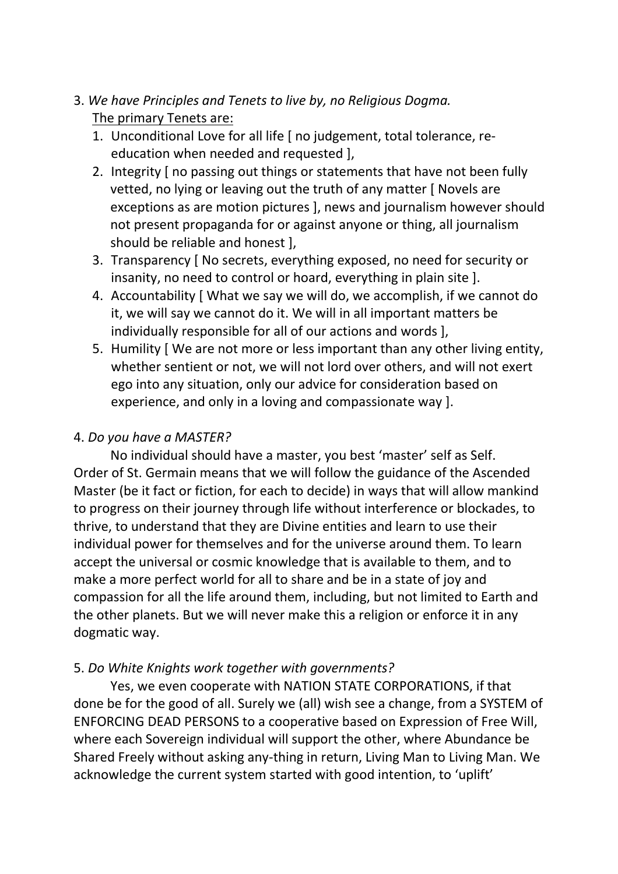# 3. We have Principles and Tenets to live by, no Religious Dogma. The primary Tenets are:

- 1. Unconditional Love for all life [ no judgement, total tolerance, reeducation when needed and requested ],
- 2. Integrity [ no passing out things or statements that have not been fully vetted, no lying or leaving out the truth of any matter [ Novels are exceptions as are motion pictures ], news and journalism however should not present propaganda for or against anyone or thing, all journalism should be reliable and honest ],
- 3. Transparency [ No secrets, everything exposed, no need for security or insanity, no need to control or hoard, everything in plain site ].
- 4. Accountability [ What we say we will do, we accomplish, if we cannot do it, we will say we cannot do it. We will in all important matters be individually responsible for all of our actions and words ],
- 5. Humility [ We are not more or less important than any other living entity, whether sentient or not, we will not lord over others, and will not exert ego into any situation, only our advice for consideration based on experience, and only in a loving and compassionate way ].

# 4. Do you have a MASTER?

 No individual should have a master, you best 'master' self as Self. Order of St. Germain means that we will follow the guidance of the Ascended Master (be it fact or fiction, for each to decide) in ways that will allow mankind to progress on their journey through life without interference or blockades, to thrive, to understand that they are Divine entities and learn to use their individual power for themselves and for the universe around them. To learn accept the universal or cosmic knowledge that is available to them, and to make a more perfect world for all to share and be in a state of joy and compassion for all the life around them, including, but not limited to Earth and the other planets. But we will never make this a religion or enforce it in any dogmatic way.

# 5. Do White Knights work together with governments?

Yes, we even cooperate with NATION STATE CORPORATIONS, if that done be for the good of all. Surely we (all) wish see a change, from a SYSTEM of ENFORCING DEAD PERSONS to a cooperative based on Expression of Free Will, where each Sovereign individual will support the other, where Abundance be Shared Freely without asking any-thing in return, Living Man to Living Man. We acknowledge the current system started with good intention, to 'uplift'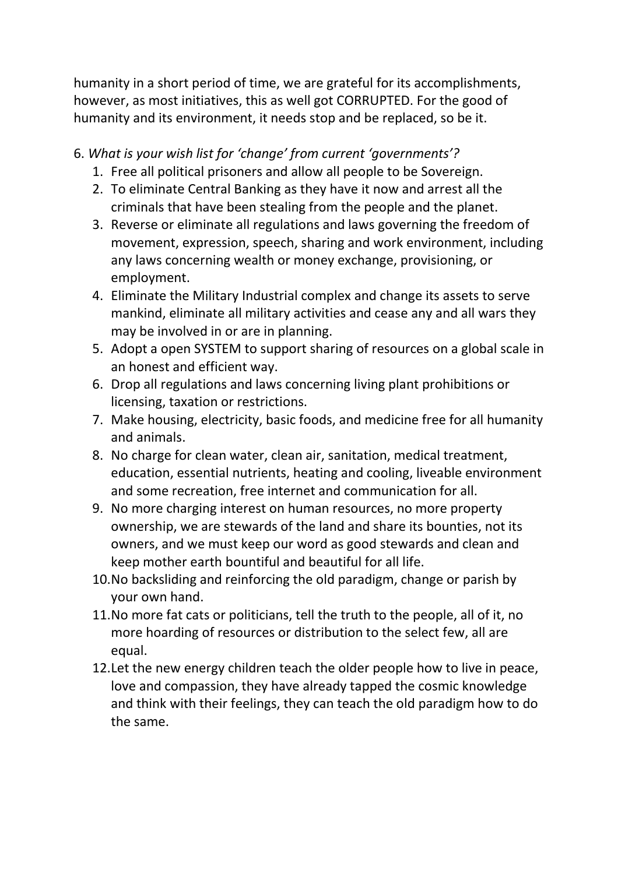humanity in a short period of time, we are grateful for its accomplishments, however, as most initiatives, this as well got CORRUPTED. For the good of humanity and its environment, it needs stop and be replaced, so be it.

# 6. What is your wish list for 'change' from current 'governments'?

- 1. Free all political prisoners and allow all people to be Sovereign.
- 2. To eliminate Central Banking as they have it now and arrest all the criminals that have been stealing from the people and the planet.
- 3. Reverse or eliminate all regulations and laws governing the freedom of movement, expression, speech, sharing and work environment, including any laws concerning wealth or money exchange, provisioning, or employment.
- 4. Eliminate the Military Industrial complex and change its assets to serve mankind, eliminate all military activities and cease any and all wars they may be involved in or are in planning.
- 5. Adopt a open SYSTEM to support sharing of resources on a global scale in an honest and efficient way.
- 6. Drop all regulations and laws concerning living plant prohibitions or licensing, taxation or restrictions.
- 7. Make housing, electricity, basic foods, and medicine free for all humanity and animals.
- 8. No charge for clean water, clean air, sanitation, medical treatment, education, essential nutrients, heating and cooling, liveable environment and some recreation, free internet and communication for all.
- 9. No more charging interest on human resources, no more property ownership, we are stewards of the land and share its bounties, not its owners, and we must keep our word as good stewards and clean and keep mother earth bountiful and beautiful for all life.
- 10.No backsliding and reinforcing the old paradigm, change or parish by your own hand.
- 11.No more fat cats or politicians, tell the truth to the people, all of it, no more hoarding of resources or distribution to the select few, all are equal.
- 12.Let the new energy children teach the older people how to live in peace, love and compassion, they have already tapped the cosmic knowledge and think with their feelings, they can teach the old paradigm how to do the same.